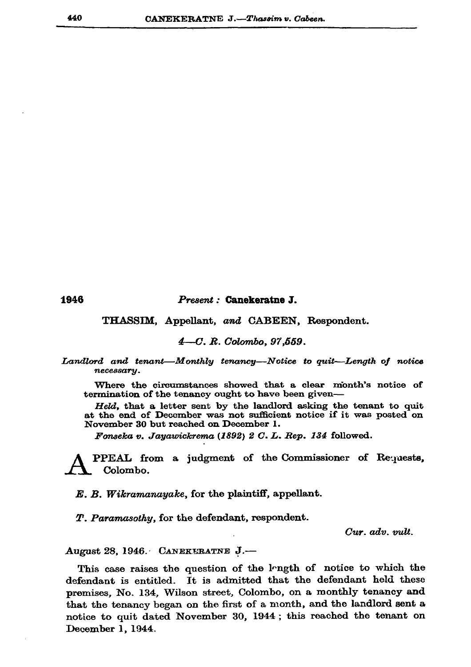1946

## Present: Canekeratne J.

THASSIM, Appellant, and CABEEN, Respondent.

4-C. R. Colombo, 97,559.

Landlord and tenant—Monthly tenancy—Notice to quit—Length of notice necessary.

Where the circumstances showed that a clear month's notice of termination of the tenancy ought to have been given-

Held, that a letter sent by the landlord asking the tenant to quit at the end of December was not sufficient notice if it was posted on November 30 but reached on December 1.

Fonseka v. Jayawickrema (1892) 2 C. L. Rep. 134 followed.

PPEAL from a judgment of the Commissioner of Requests, Colombo.

E. B. Wikramanayake, for the plaintiff, appellant.

T. Paramasothy, for the defendant, respondent.

Cur. adv. vult.

August 28, 1946. CANEKERATNE J.-

This case raises the question of the longth of notice to which the defendant is entitled. It is admitted that the defendant held these premises, No. 134, Wilson street, Colombo, on a monthly tenancy and that the tenancy began on the first of a month, and the landlord sent a notice to quit dated November 30, 1944; this reached the tenant on December 1, 1944.